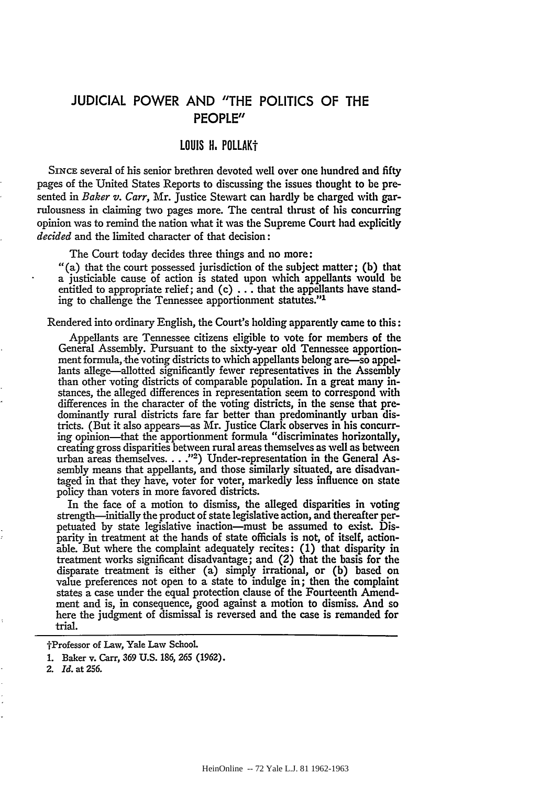## JUDICIAL POWER AND "THE POLITICS OF THE PEOPLE"

## **LOUIS H. POLLAK<sup>+</sup>**

SINcE several of his senior brethren devoted well over one hundred and fifty pages of the United States Reports to discussing the issues thought to be presented in *Baker v. Carr*, Mr. Justice Stewart can hardly be charged with garrulousness in claiming two pages more. The central thrust of his concurring opinion was to remind the nation what it was the Supreme Court had explicitly *decided* and the limited character of that decision:

The Court today decides three things and no more:

"(a) that the court possessed jurisdiction of the subject matter; (b) that a justiciable cause of action is stated upon which appellants would be entitled to appropriate relief; and  $(c)$ ... that the appellants have standing to challenge the Tennessee apportionment statutes."'

## Rendered into ordinary English, the Court's holding apparently came to this:

Appellants are Tennessee citizens eligible to vote for members of the General Assembly. Pursuant to the sixty-year old Tennessee apportionment formula, the voting districts to which appellants belong are—so appellants allege—allotted significantly fewer representatives in the Assembly than other voting districts of comparable population. In a great many instances, the alleged differences in representation seem to correspond with differences in the character of the voting districts, in the sense that predominantly rural districts fare far better than predominantly urban districts. (But it also appears—as Mr. Justice Clark observes in his concurring opinion-that the apportionment formula "discriminates horizontally, creating gross disparities between rural areas themselves as well as betveen urban areas themselves.  $\ldots$ ."2) Under-representation in the General Assembly means that appellants, and those similarly situated, are disadvantaged in that they have, voter for voter, markedly less influence on state policy than voters in more favored districts.

In the face of a motion to dismiss, the alleged disparities in voting strength—initially the product of state legislative action, and thereafter perpetuated by state legislative inaction-must be assumed to exist. Disparity in treatment at the hands of state officials is not, of itself, actionable. But where the complaint adequately recites: (1) that disparity in treatment works significant disadvantage; and (2) that the basis for the disparate treatment is either (a) simply irrational, or (b) based on value preferences not open to a state to indulge in; then the complaint states a case under the equal protection clause of the Fourteenth Amendment and is, in consequence, good against a motion to dismiss. And so here the judgment of dismissal is reversed and the case is remanded for trial.

 $\dagger$ Professor of Law, Yale Law School.

*2. Id.* at **256.**

<sup>1.</sup> Baker v. Carr, **369** U.S. 186, **265 (1962).**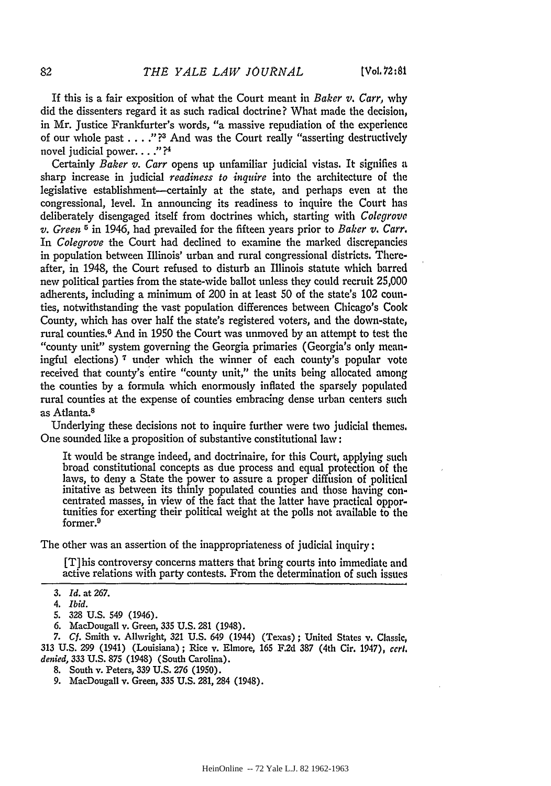If this is a fair exposition of what the Court meant in *Baker v. Carr,* why did the dissenters regard it as such radical doctrine? What made the decision, in Mr. Justice Frankfurter's words, "a massive repudiation of the experience of our whole past . . . . "<sup>23</sup> And was the Court really "asserting destructively novel judicial power...."?<sup>4</sup>

Certainly *Baker v. Carr* opens up unfamiliar judicial vistas. It signifies a sharp increase in judicial *readiness to inquire* into the architecture of the legislative establishment-certainly at the state, and perhaps even at the congressional, level. In announcing its readiness to inquire the Court has deliberately disengaged itself from doctrines which, starting with *Colegrove v. Green* **5** in 1946, had prevailed for the fifteen years prior to *Baker v. Carr.* In *Colegrove* the Court had declined to examine the marked discrepancies in population between Illinois' urban and rural congressional districts. Thereafter, in 1948, the Court refused to disturb an Illinois statute which barred new political parties from the state-wide ballot unless they could recruit 25,000 adherents, including a minimum of 200 in at least 50 of the state's 102 counties, notwithstanding the vast population differences between Chicago's Cook County, which has over half the state's registered voters, and the down-state, rural counties.6 And in 1950 the Court was unmoved by an attempt to test the "county unit" system governing the Georgia primaries (Georgia's only meaningful elections) **7** under which the winner of each county's popular vote received that county's entire "county unit," the units being allocated among the counties by a formula which enormously inflated the sparsely populated rural counties at the expense of counties embracing dense urban centers such as Atlanta.8

Underlying these decisions not to inquire further were two judicial themes. One sounded like a proposition of substantive constitutional law:

It would be strange indeed, and doctrinaire, for this Court, applying such broad constitutional concepts as due process and equal protection of the laws, to deny a State the power to assure a proper diffusion of political initative as between its thinly populated counties and those having concentrated masses, in view of the fact that the latter have practical opportunities for exerting their political weight at the polls not available to the former.<sup>9</sup>

The other was an assertion of the inappropriateness of judicial inquiry :

[T] his controversy concerns matters that bring courts into immediate and active relations with party contests. From the determination of such issues

- 8. South v. Peters, 339 U.S. **276** (1950).
- 9. MacDougall v. Green, 335 U.S. 281, 284 (1948).

*<sup>3.</sup> Id.* at **267.**

*<sup>4.</sup> Ibid.*

<sup>5. 328</sup> U.S. 549 (1946).

<sup>6.</sup> MacDougall v. Green, 335 U.S. 281 (1948).

**<sup>7.</sup>** *Cf.* Smith v. Alhvright, **321 U.S.** 649 (1944) (Texas) **;** United States v. Classic, 313 U.S. 299 (1941) (Louisiana) ; Rice v. Elmore, 165 F.2d 387 (4th Cir. 1947), *cecr, denied,* 333 U.S. 875 (1948) (South Carolina).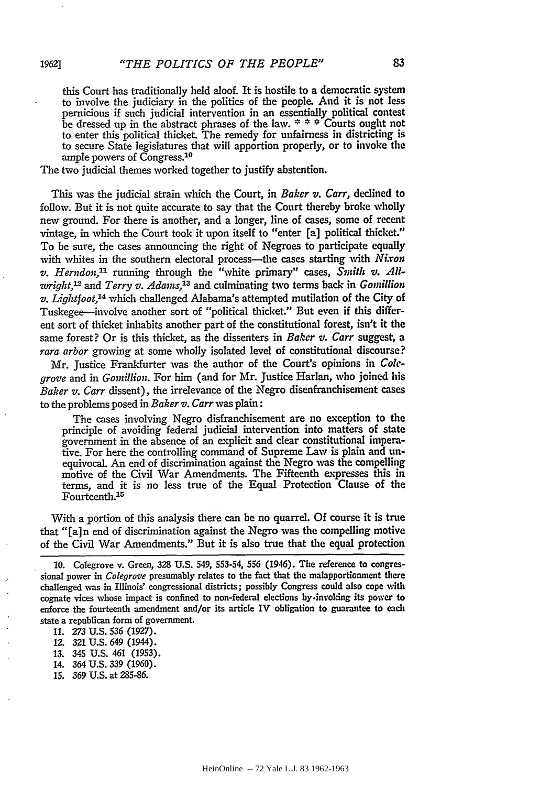this Court has traditionally held aloof. It is hostile to a democratic system to involve the judiciary in the politics of the people. And it is not less pernicious if such judicial intervention in an essentially political contest be dressed up in the abstract phrases of the law. \* **\* \*** Courts ought not to enter this political thicket. The remedy for unfairness in districting is to secure State legislatures that will apportion properly, or to invoke the ample powers of Congress.<sup>10</sup>

The two judicial themes worked together to justify abstention.

This was the judicial strain which the Court, in *Baker v. Carr,* declined to follow. But it is not quite accurate to say that the Court thereby broke wholly new ground. For there is another, and a longer, line of cases, some of recent vintage, in which the Court took it upon itself to "enter **[a]** political thicket." To be sure, the cases announcing the right of Negroes to participate equally with whites in the southern electoral process—the cases starting with *Nixon v. Herndon,'1* running through the "white primary" cases, *Snith v. Allwright, 2 and Terry v. Adams,'3* and culminating two terms back in *Gomillion v. Lightfoot,14* which challenged Alabama's attempted mutilation of the City of Tuskegee—involve another sort of "political thicket." But even if this different sort of thicket inhabits another part of the constitutional forest, isn't it the same forest? Or is this thicket, as the dissenters in *Baker v. Carr* suggest, a *rara arbor* growing at some wholly isolated level of constitutional discourse?

Mr. Justice Frankfurter was the author of the Court's opinions in *Colegrove* and in *Gomillion.* For him (and for Mr. Justice Harlan, who joined his *Baker v. Carr* dissent), the irrelevance of the Negro disenfranchisement cases to the problems posed in *Baker v. Carr* was plain:

The cases involving Negro disfranchisement are no exception to the principle of avoiding federal judicial intervention into matters of state government in the absence of an explicit and clear constitutional imperative. For here the controlling command of Supreme Law is plain and unequivocal. An end of discrimination against the Negro was the compelling motive of the Civil War Amendments. The Fifteenth expresses this in terms, and it is no less true of the Equal Protection Clause of the Fourteenth.<sup>15</sup>

With a portion of this analysis there can be no quarrel. Of course it is true that "[a] n end of discrimination against the Negro was the compelling motive of the Civil War Amendments." But it is also true that the equal protection

- 11. **273** U.S. **536** (1927).
- 12. **321** U.S. 649 (1944).
- 13. 345 U.S. 461 (1953).
- 14. 364 U.S. **339** (1960).
- 15. **369** U.S. at 285-86.

**<sup>10.</sup>** Colegrove v. Green, 328 U.S. 549, 553-54, **556** (1946). The reference to congressional power in *Colegrove* presumably relates to the fact that the malapportionment there challenged was in Illinois' congressional districts; possibly Congress could also cope with cognate vices whose impact is confined to non-federal elections by.invoking its power to enforce the fourteenth amendment and/or its article IV obligation to guarantee to each state a republican form of government.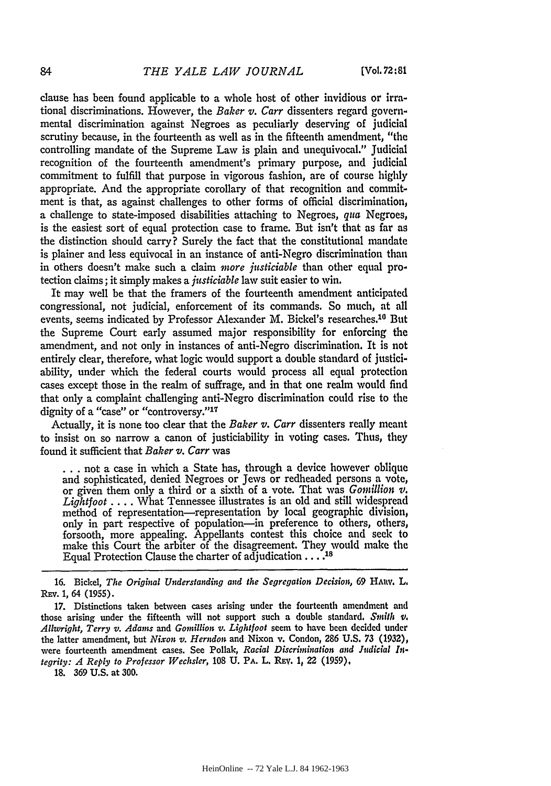clause has been found applicable to a whole host of other invidious or irrational discriminations. However, the *Baker v. Carr* dissenters regard governmental discrimination against Negroes as peculiarly deserving of judicial scrutiny because, in the fourteenth as **well** as in the fifteenth amendment, "the controlling mandate of the Supreme Law is plain and unequivocal." Judicial recognition of the fourteenth amendment's primary purpose, and judicial commitment to fulfill that purpose in vigorous fashion, are of course **highly** appropriate. And the appropriate corollary of that recognition and commitment is that, as against challenges to other forms of official discrimination, a challenge to state-imposed disabilities attaching to Negroes, *qua* Negroes, is the easiest sort of equal protection case to frame. But isn't that as far as the distinction should carry? Surely the fact that the constitutional mandate is plainer and less equivocal in an instance of anti-Negro discrimination than in others doesn't make such a claim more *justiciable* than other equal protection claims; it simply makes a *justiciable* law suit easier to win.

It may well be that the framers of the fourteenth amendment anticipated congressional, not judicial, enforcement of its commands. So much, at **all** events, seems indicated by Professor Alexander M. Bickel's researches.<sup>10</sup> But the Supreme Court early assumed major responsibility for enforcing the amendment, and not only in instances of anti-Negro discrimination. It is not entirely clear, therefore, what logic would support a double standard of justiciability, under which the federal courts would process all equal protection cases except those in the realm of suffrage, and in that one realm would find that only a complaint challenging anti-Negro discrimination could rise to the dignity of a "case" or **"controversy."17**

Actually, it is none too clear that the *Baker v. Carr* dissenters really meant to insist on so narrow a canon of justiciability in voting cases. Thus, they found it sufficient that *Baker v. Carr* was

**. ..** not a case in which a State has, through a device however oblique and sophisticated, denied Negroes or Jews or redheaded persons a vote, or given them only a third or a sixth of a vote. That was *Gontillion v. Lightfoot* .... What Tennessee illustrates is an old and still widespread method of representation-representation **by** local geographic division, only in part respective of population-in preference to others, others, forsooth, more appealing. Appellants contest this choice and seek to make this Court the arbiter of the disagreement. **They** would make the Equal Protection Clause the charter of adjudication ... **<sup>18</sup>**

**16.** Bickel, The Original *Understanding and the Segregation Decision,* **69 UAiy.** L. **REv.** 1, 64 (1955).

**17.** Distinctions taken between cases arising under the fourteenth amendment and those arising under the fifteenth will not support such a double standard. *Smith v. Allwright, Terry v. Adams and Gomillion v. Lightfoot* seem to have been decided under the latter amendment, but *Nixon v. Herndon* and Nixon v. Condon, **286 U.S. 73 (1932),** were fourteenth amendment cases. See Pollak, *Racial Discrimination and Jtdicial Integrity: A Reply to Professor Wechsler,* **108 U. PA.** L. REY. 1, 22 (1959),

**18. 369 U.S.** at **300.**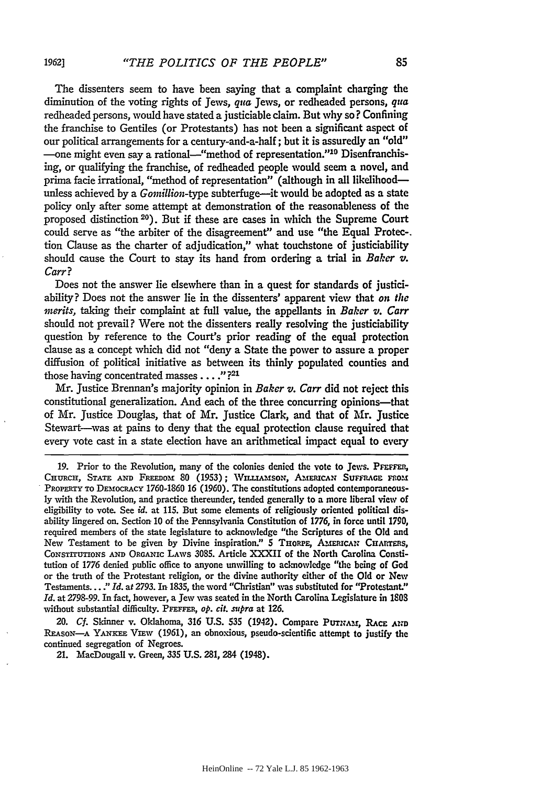The dissenters seem to have been saying that a complaint charging the diminution of the voting rights of Jews, *qua* Jews, or redheaded persons, qua redheaded persons, would have stated a justiciable claim. But why so? Confining the franchise to Gentiles (or Protestants) has not been a significant aspect of our political arrangements for a century-and-a-half; but it is assuredly an "old" -one might even say a rational-"method of representation."<sup>10</sup> Disenfranchising, or qualifying the franchise, of redheaded people would seem a novel, and prima facie irrational, "method of representation" (although in all likelihoodunless achieved by a *Gomillion-type* subterfuge-it would be adopted as a state policy only after some attempt at demonstration of the reasonableness of the proposed distinction 20). But **if** these are cases in which the Supreme Court could serve as "the arbiter of the disagreement" and use "the Equal Protec-. tion Clause as the charter of adjudication," what touchstone of justiciability should cause the Court to stay its hand from ordering a trial in *Baker v. Carr?*

Does not the answer lie elsewhere than in a quest for standards of justiciability? Does not the answer lie in the dissenters' apparent view that *on the merits,* taking their complaint at full value, the appellants in *Baker v. Carr* should not prevail? Were not the dissenters really resolving the justiciability question by reference to the Court's prior reading of the equal protection clause as a concept which did not "deny a State the power to assure a proper diffusion of political initiative as between its thinly populated counties and those having concentrated masses . . . . "?<sup>21</sup>

Mr. Justice Brennan's majority opinion in *Baker v. Carr* did not reject this constitutional generalization. And each of the three concurring opinions-that of Mr. Justice Douglas, that of Mr. Justice Clark, and that of Mr. Justice Stewart--was at pains to deny that the equal protection clause required that every vote cast in a state election have an arithmetical impact equal to every

20. *Cf.* Skinner v. Oklahoma, 316 U.S. 535 (1942). Compare PUTNAM, RACE AND REASON-A YANKEE VIEW (1961), an obnoxious, pseudo-scientific attempt to justify the continued segregation of Negroes.

21. MacDougall v. Green, **335** U.S. **281,** 284 (1948).

**1962]**

<sup>19.</sup> Prior to the Revolution, many of the colonies denied the vote to Jews. PFEFFER, CHURCH, STATE AND FREEDOM 80 (1953); WILLIAMSON, AMERICAN SUFFRAGE FROM **PROPERTY TO** DEMOCRACY 1760-1860 *16* (1960). The constitutions adopted contemporaneously with the Revolution, and practice thereunder, tended generally to a more liberal view of eligibility to vote. See *id.* at 115. But some elements of religiously oriented political disability lingered on. Section 10 of the Pennsylvania Constitution of **1776,** in force until *1790,* required members of the state legislature to acknowledge "the Scriptures of the Old and New Testament to be given by Divine inspiration." 5 THORPE, AMERICAN CHARTERS, CONSTITUTIONS AND ORGANIC LAWS 3085. Article XXXII of the North Carolina Constitution of **1776** denied public office to anyone unwilling to ackmowledge "the being of **God** or the truth of the Protestant religion, or the divine authority either of the **Old** or New Testaments... *." Id.* at **2793.** In **1835,** the word "Christian" *was* substituted for "Protestant." *Id.* at 2798-99. In fact, however, a Jew was seated in the North Carolina Legislature in **1803** without substantial difficulty. **PFEFFER, op. cit.** *supra* at 126.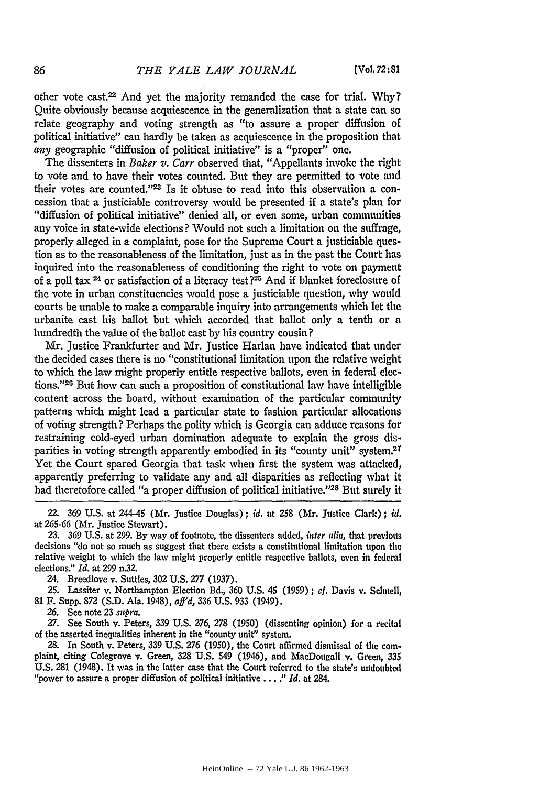other vote cast.<sup>22</sup> And yet the majority remanded the case for trial. Why? Quite obviously because acquiescence in the generalization that a state can so relate geography and voting strength as "to assure a proper diffusion of political initiative" can hardly be taken as acquiescence in the proposition that *any* geographic "diffusion of political initiative" is a "proper" one.

The dissenters in *Baker v. Carr* observed that, "Appellants invoke the right to vote and to have their votes counted. But they are permitted to vote and their votes are counted."<sup>23</sup> Is it obtuse to read into this observation a concession that a justiciable controversy would be presented if a state's plan for "diffusion of political initiative" denied all, or even some, urban communities any voice in state-wide elections? Would not such a limitation on the suffrage, properly alleged in a complaint, pose for the Supreme Court a justiciable question as to the reasonableness of the limitation, just as in the past the Court has inquired into the reasonableness of conditioning the right to vote on payment of a poll tax <sup>24</sup> or satisfaction of a literacy test?<sup>25</sup> And if blanket foreclosure of the vote in urban constituencies would pose a justiciable question, why would courts be unable to make a comparable inquiry into arrangements which let the urbanite cast his ballot but which accorded that ballot only a tenth or **a** hundredth the value of the ballot cast by his country cousin?

Mr. Justice Frankfurter and Mr. Justice Harlan have indicated that under the decided cases there is no "constitutional limitation upon the relative weight to which the law might properly entitle respective ballots, even in federal elections. '20 But how can such a proposition of constitutional law have intelligible content across the board, without examination of the particular community patterns which might lead a particular state to fashion particular allocations of voting strength? Perhaps the polity which is Georgia can adduce reasons for restraining cold-eyed urban domination adequate to explain the gross disparities in voting strength apparently embodied in its "county unit" system.<sup>27</sup> Yet the Court spared Georgia that task when first the system was attacked, apparently preferring to validate any and all disparities as reflecting what it had theretofore called "a proper diffusion of political initiative."<sup>28</sup> But surely it

**22. 369 U.S.** at 244-45 (Mr. Justice Douglas) ; *id.* at **258** (Mr. Justice Clark); *id.* at 265-66 (Mr. Justice Stewart).

**23. 369** U.S. at **299. By** way of footnote, the dissenters added, *inter alia,* that previous decisions "do not so much as suggest that there exists a constitutional limitation upon the relative weight to which the law might properly entitle respective ballots, even in federal elections." *Id.* at **299** n.32.

24. Breedlove v. Suttles, **302** U.S. **277** (1937).

25. Lassiter v. Northampton Election Bd., **360 U.S.** 45 (1959) **;** cf. Davis v. Schnell, 81 F. Supp. **872** (S.D. Ala. 1948), *aff'd,* 336 U.S. **933** (1949).

**26.** See note **23** *smpra.*

*27.* See South v. Peters, **339** U.S. 276, **278 (1950)** (dissenting opinion) for a recital of the asserted inequalities inherent in the "county unit" system.

**28.** In South v. Peters, **339** U.S. **276** (1950), the Court affirmed dismissal of the complaint, citing Colegrove v. Green, 328 U.S. 549 (1946), and MacDougall v. Green, **335** U.S. 281 (1948). It was in the latter case that the Court referred to the state's undoubted "power to assure a proper diffusion of political initiative **... !'** *Id.* at 284.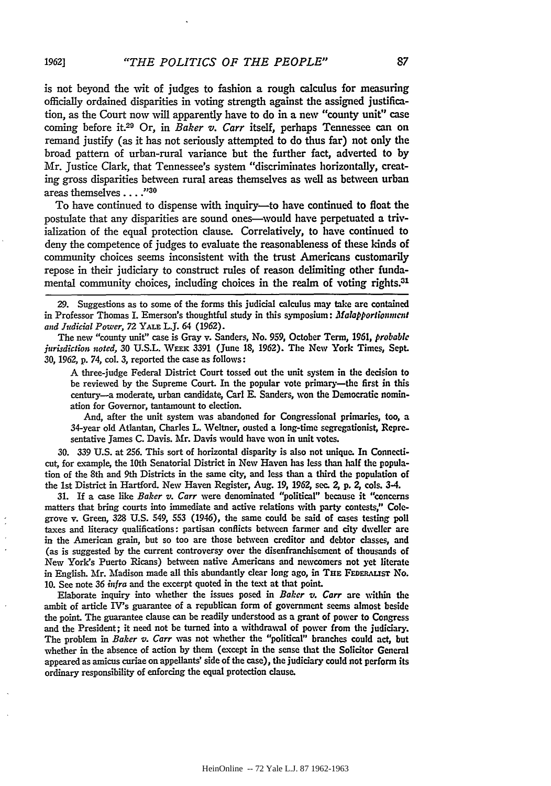is not beyond the wit of judges to fashion a rough calculus for measuring officially ordained disparities in voting strength against the assigned justification, as the Court now will apparently have to do in a new "county unit" case coming before **it.29** Or, in *Baker v. Carr* itself, perhaps Tennessee can on remand justify (as it has not seriously attempted to do thus far) not only the broad pattern of urban-rural variance but the further fact, adverted to **by** Mr. Justice Clark, that Tennessee's system "discriminates horizontally, creating gross disparities between rural areas themselves as well as between urban areas themselves . . . . "<sup>30</sup>

To have continued to dispense with inquiry-to have continued to float the postulate that any disparities are sound ones-would have perpetuated a trivialization of the equal protection clause. Correlatively, to have continued to deny the competence of judges to evaluate the reasonableness of these kinds of community choices seems inconsistent with the trust Americans customarily repose in their judiciary to construct rules of reason delimiting other fundamental community choices, including choices in the realm of voting rights.<sup>31</sup>

**29.** Suggestions as to some of the forms this judicial calculus may take are contained **in** Professor Thomas **I.** Emerson's thoughtful study in this symposium: *Malapporlionment and Judicial Power, 72* YALE L.J. 64 **(1962).**

The new "county unit" case is Gray v. Sanders, No. 959, October Term, **1961,** *probable jurisdiction noted,* **30** U.S.L. WEEK **3391** (June **18, 1962).** The New York Times, **Sept.** *30, 1962,* **p.** *74,* col. **3,** reported the case as follows:

**A** three-judge Federal District Court tossed out the unit system in the decision to be reviewed **by** the Supreme Court. In the popular vote primary-the first in this century-a moderate, urban candidate, Carl **E.** Sanders, won the Democratic onination for Governor, tantamount to election.

And, after the unit system was abandoned for Congressional primaries, too, a 34-year old Atlantan, Charles L. Weltner, ousted a long-time segregationist, Representative James C. Davis. Mr. Davis would have won in unit votes.

**30. 339** U.S. at **256.** This sort of horizontal disparity is also not unique. In Connecticut, for example, the 10th Senatorial District in New Haven has less **than half** the population of the 8th and 9th Districts in the same city, and less than a third the population of the 1st District in Hartford. New Haven Register, Aug. **19,** *1962,* sec. 2, **p. 2,** cols. 3-4.

31. **If** a case like *Baker v. Carr* were denominated "political" because it "concerns matters that bring courts into immediate and active relations with party contests," Colegrove v. Green, **328** U.S. 549, **553** (1946), the same could be said of cases testing poll taxes and literacy qualifications: partisan conflicts between fanner and city dweller are in the American grain, but so too are those between creditor and debtor classes, and (as is suggested **by** the current controversy over the disenfranchisement of thousands of New York's Puerto Ricans) between native Americans and newcomers not yet literate in English. Mr. Madison made all this abundantly clear long ago, in THE FEDERALIST No. **10.** See note *36 infra* and the excerpt quoted in the text at that point.

Elaborate inquiry into whether the issues posed in *Baker v. Carr* are within the ambit of article IV's guarantee of a republican form of government seems almost beside the point. The guarantee clause can be readily understood as a grant of power to Congress and the President; it need not be turned into a withdrawal of power from the judiciary. The problem in *Baker v. Carr* was not whether the "political" branches could act, but whether in the absence of action **by** them (except in the sense that the Solicitor General appeared as amicus curiae on **appellants'** side of the case), the judiciary could not perform its ordinary responsibility of enforcing the equal protection clause.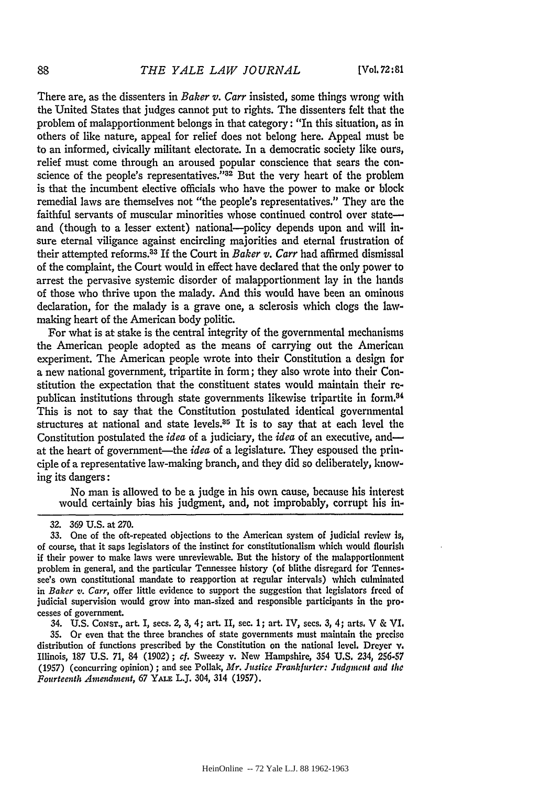There are, as the dissenters in *Baker v. Carr* insisted, some things wrong with the United States that judges cannot put to rights. The dissenters felt that the problem of malapportionment belongs in that category: "In this situation, as in others of like nature, appeal for relief does not belong here. Appeal must be to an informed, civically militant electorate. In a democratic society like ours, relief must come through an aroused popular conscience that sears the conscience of the people's representatives.<sup> $32$ </sup> But the very heart of the problem is that the incumbent elective officials who have the power to make or block remedial laws are themselves not "the people's representatives." They are the faithful servants of muscular minorities whose continued control over stateand (though to a lesser extent) national—policy depends upon and will insure eternal viligance against encircling majorities and eternal frustration of their attempted reforms.3 3 If the Court in *Baker v. Carr* had affirmed dismissal of the complaint, the Court would in effect have declared that the only power to arrest the pervasive systemic disorder of malapportionment lay in the hands of those who thrive upon the malady. And this would have been an ominous declaration, for the malady is a grave one, a sclerosis which clogs the lawmaking heart of the American body politic.

For what is at stake is the central integrity of the governmental mechanisms the American people adopted as the means of carrying out the American experiment. The American people wrote into their Constitution a design for a new national government, tripartite in form; they also wrote into their Constitution the expectation that the constituent states would maintain their republican institutions through state governments likewise tripartite in form.<sup>34</sup> This is not to say that the Constitution postulated identical governmental structures at national and state levels.<sup>35</sup> It is to say that at each level the Constitution postulated the *idea* of a judiciary, the *idea* of an executive, andat the heart of government—the *idea* of a legislature. They espoused the principle of a representative law-making branch, and they did so deliberately, knowing its dangers:

No man is allowed to be a judge in his own cause, because his interest would certainly bias his judgment, and, not improbably, corrupt his in-

34. U.S. CONST., art. I, sees. 2, **3,** 4; art. II, sec. 1; art. IV, sees. **3,** 4; arts, V & VI.

35. Or even that the three branches of state governments must maintain the precise distribution of functions prescribed by the Constitution on the national level. Dreyer *v.* Illinois, **187** U.S. 71, 84 (1902); *cf.* Sweezy v. New Hampshire, 354 U.S. 234, 256-57 (1957) (concurring opinion); and see Pollak, *Mr. Justice Frankfurter: Judgment and the Fourteenth Amendment, 67* YALE L.J. 304, 314 (1957).

<sup>32. 369</sup> U.S. at 270.

<sup>33.</sup> One of the oft-repeated objections to the American system of judicial review is, of course, that it saps legislators of the instinct for constitutionalism which would flourish if their power to make laws were unreviewable. But the history of the malapportionment problem in general, and the particular Tennessee history (of blithe disregard for Tennessee's own constitutional mandate to reapportion at regular intervals) which culminated in Baker v. Carr, offer little evidence to support the suggestion that legislators freed of judicial supervision would grow into man-sized and responsible participants in the processes of government.